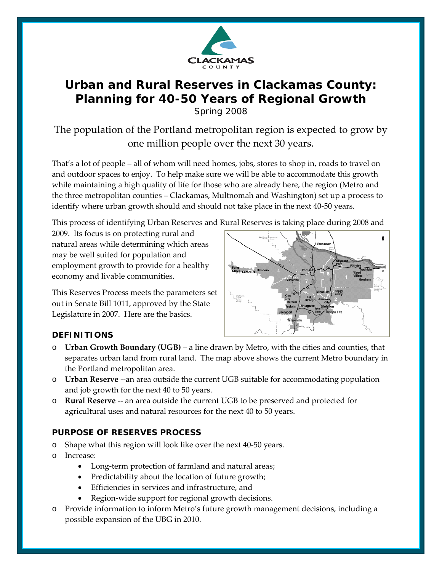

# **Urban and Rural Reserves in Clackamas County:**  *Planning for 40-50 Years of Regional Growth*  Spring 2008

The population of the Portland metropolitan region is expected to grow by one million people over the next 30 years.

That's a lot of people – all of whom will need homes, jobs, stores to shop in, roads to travel on and outdoor spaces to enjoy. To help make sure we will be able to accommodate this growth while maintaining a high quality of life for those who are already here, the region (Metro and the three metropolitan counties – Clackamas, Multnomah and Washington) set up a process to identify where urban growth should and should not take place in the next 40‐50 years.

This process of identifying Urban Reserves and Rural Reserves is taking place during 2008 and

2009. Its focus is on protecting rural and natural areas while determining which areas may be well suited for population and employment growth to provide for a healthy economy and livable communities.

This Reserves Process meets the parameters set out in Senate Bill 1011, approved by the State Legislature in 2007. Here are the basics.



# **DEFINITIONS**

- o **Urban Growth Boundary (UGB)** a line drawn by Metro, with the cities and counties, that separates urban land from rural land. The map above shows the current Metro boundary in the Portland metropolitan area.
- o **Urban Reserve** ‐‐an area outside the current UGB suitable for accommodating population and job growth for the next 40 to 50 years.
- o **Rural Reserve** ‐‐ an area outside the current UGB to be preserved and protected for agricultural uses and natural resources for the next 40 to 50 years.

# **PURPOSE OF RESERVES PROCESS**

- Shape what this region will look like over the next 40-50 years.
- o Increase:
	- Long-term protection of farmland and natural areas;
	- Predictability about the location of future growth;
	- Efficiencies in services and infrastructure, and
	- Region-wide support for regional growth decisions.
- o Provide information to inform Metro's future growth management decisions, including a possible expansion of the UBG in 2010.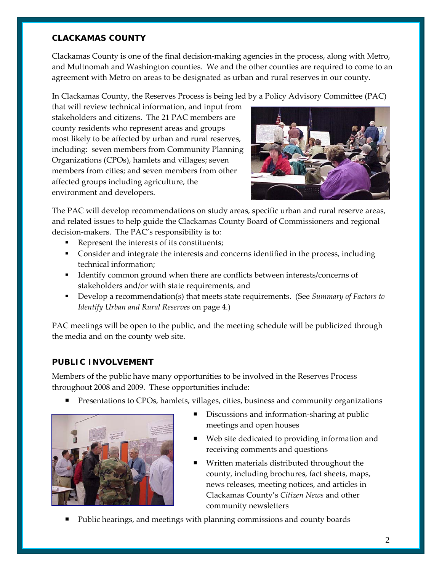#### **CLACKAMAS COUNTY**

Clackamas County is one of the final decision‐making agencies in the process, along with Metro, and Multnomah and Washington counties. We and the other counties are required to come to an agreement with Metro on areas to be designated as urban and rural reserves in our county.

In Clackamas County, the Reserves Process is being led by a Policy Advisory Committee (PAC)

that will review technical information, and input from stakeholders and citizens. The 21 PAC members are county residents who represent areas and groups most likely to be affected by urban and rural reserves, including: seven members from Community Planning Organizations (CPOs), hamlets and villages; seven members from cities; and seven members from other affected groups including agriculture, the environment and developers.



The PAC will develop recommendations on study areas, specific urban and rural reserve areas, and related issues to help guide the Clackamas County Board of Commissioners and regional decision‐makers. The PAC's responsibility is to:

- Represent the interests of its constituents;
- Consider and integrate the interests and concerns identified in the process, including technical information;
- Identify common ground when there are conflicts between interests/concerns of stakeholders and/or with state requirements, and
- Develop a recommendation(s) that meets state requirements. (See *Summary of Factors to Identify Urban and Rural Reserves* on page 4.)

PAC meetings will be open to the public, and the meeting schedule will be publicized through the media and on the county web site.

#### **PUBLIC INVOLVEMENT**

Members of the public have many opportunities to be involved in the Reserves Process throughout 2008 and 2009. These opportunities include:

**Presentations to CPOs, hamlets, villages, cities, business and community organizations** 



- Discussions and information‐sharing at public meetings and open houses
- Web site dedicated to providing information and receiving comments and questions
- Written materials distributed throughout the county, including brochures, fact sheets, maps, news releases, meeting notices, and articles in Clackamas County's *Citizen News* and other community newsletters
- Public hearings, and meetings with planning commissions and county boards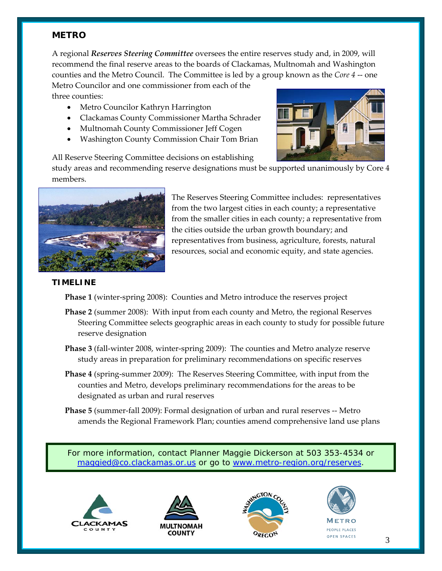### **METRO**

A regional *Reserves Steering Committee* oversees the entire reserves study and, in 2009, will recommend the final reserve areas to the boards of Clackamas, Multnomah and Washington counties and the Metro Council. The Committee is led by a group known as the *Core 4* ‐‐ one

Metro Councilor and one commissioner from each of the three counties:

- Metro Councilor Kathryn Harrington
- Clackamas County Commissioner Martha Schrader
- Multnomah County Commissioner Jeff Cogen
- Washington County Commission Chair Tom Brian

All Reserve Steering Committee decisions on establishing

study areas and recommending reserve designations must be supported unanimously by Core 4 members.



The Reserves Steering Committee includes: representatives from the two largest cities in each county; a representative from the smaller cities in each county; a representative from the cities outside the urban growth boundary; and representatives from business, agriculture, forests, natural resources, social and economic equity, and state agencies.

#### **TIMELINE**

**Phase 1** (winter‐spring 2008): Counties and Metro introduce the reserves project

- **Phase 2** (summer 2008): With input from each county and Metro, the regional Reserves Steering Committee selects geographic areas in each county to study for possible future reserve designation
- **Phase 3** (fall-winter 2008, winter-spring 2009): The counties and Metro analyze reserve study areas in preparation for preliminary recommendations on specific reserves
- **Phase 4** (spring‐summer 2009): The Reserves Steering Committee, with input from the counties and Metro, develops preliminary recommendations for the areas to be designated as urban and rural reserves
- **Phase 5** (summer‐fall 2009): Formal designation of urban and rural reserves ‐‐ Metro amends the Regional Framework Plan; counties amend comprehensive land use plans

For more information, contact Planner Maggie Dickerson at 503 353-4534 or [maggied@co.clackamas.or.us](mailto:maggied@co.clackamas.or.us) or go to [www.metro-region.org/reserves.](http://www.metro-region.org/reserves)